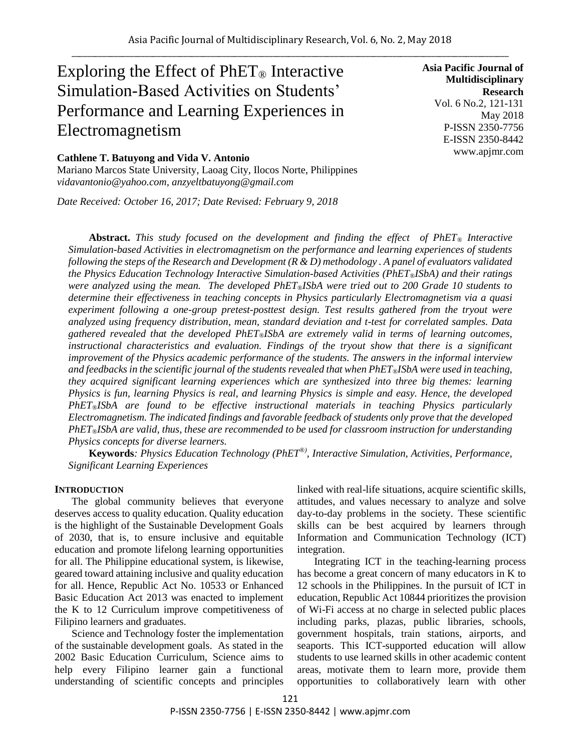# Exploring the Effect of  $PhET_{\circledcirc}$  Interactive Simulation-Based Activities on Students' Performance and Learning Experiences in Electromagnetism

## **Cathlene T. Batuyong and Vida V. Antonio**

Mariano Marcos State University, Laoag City, Ilocos Norte, Philippines *vidavantonio@yahoo.com, anzyeltbatuyong@gmail.com*

*Date Received: October 16, 2017; Date Revised: February 9, 2018*

**Asia Pacific Journal of Multidisciplinary Research** Vol. 6 No.2, 121-131 May 2018 P-ISSN 2350-7756 E-ISSN 2350-8442 www.apjmr.com

**Abstract.** *This study focused on the development and finding the effect of PhET® Interactive Simulation-based Activities in electromagnetism on the performance and learning experiences of students following the steps of the Research and Development (R & D) methodology . A panel of evaluators validated the Physics Education Technology Interactive Simulation-based Activities (PhET®ISbA) and their ratings were analyzed using the mean. The developed PhET®ISbA were tried out to 200 Grade 10 students to determine their effectiveness in teaching concepts in Physics particularly Electromagnetism via a quasi experiment following a one-group pretest-posttest design. Test results gathered from the tryout were analyzed using frequency distribution, mean, standard deviation and t-test for correlated samples. Data gathered revealed that the developed PhET®ISbA are extremely valid in terms of learning outcomes, instructional characteristics and evaluation. Findings of the tryout show that there is a significant improvement of the Physics academic performance of the students. The answers in the informal interview and feedbacks in the scientific journal of the students revealed that when PhET®ISbA were used in teaching, they acquired significant learning experiences which are synthesized into three big themes: learning Physics is fun, learning Physics is real, and learning Physics is simple and easy. Hence, the developed PhET®ISbA are found to be effective instructional materials in teaching Physics particularly Electromagnetism. The indicated findings and favorable feedback of students only prove that the developed PhET®ISbA are valid, thus, these are recommended to be used for classroom instruction for understanding Physics concepts for diverse learners.*

**Keywords***: Physics Education Technology (PhET®), Interactive Simulation, Activities, Performance, Significant Learning Experiences*

### **INTRODUCTION**

The global community believes that everyone deserves access to quality education. Quality education is the highlight of the Sustainable Development Goals of 2030, that is, to ensure inclusive and equitable education and promote lifelong learning opportunities for all. The Philippine educational system, is likewise, geared toward attaining inclusive and quality education for all. Hence, Republic Act No. 10533 or Enhanced Basic Education Act 2013 was enacted to implement the K to 12 Curriculum improve competitiveness of Filipino learners and graduates.

Science and Technology foster the implementation of the sustainable development goals. As stated in the 2002 Basic Education Curriculum, Science aims to help every Filipino learner gain a functional understanding of scientific concepts and principles linked with real-life situations, acquire scientific skills, attitudes, and values necessary to analyze and solve day-to-day problems in the society. These scientific skills can be best acquired by learners through Information and Communication Technology (ICT) integration.

Integrating ICT in the teaching-learning process has become a great concern of many educators in K to 12 schools in the Philippines. In the pursuit of ICT in education, Republic Act 10844 prioritizes the provision of Wi-Fi access at no charge in selected public places including parks, plazas, public libraries, schools, government hospitals, train stations, airports, and seaports. This ICT-supported education will allow students to use learned skills in other academic content areas, motivate them to learn more, provide them opportunities to collaboratively learn with other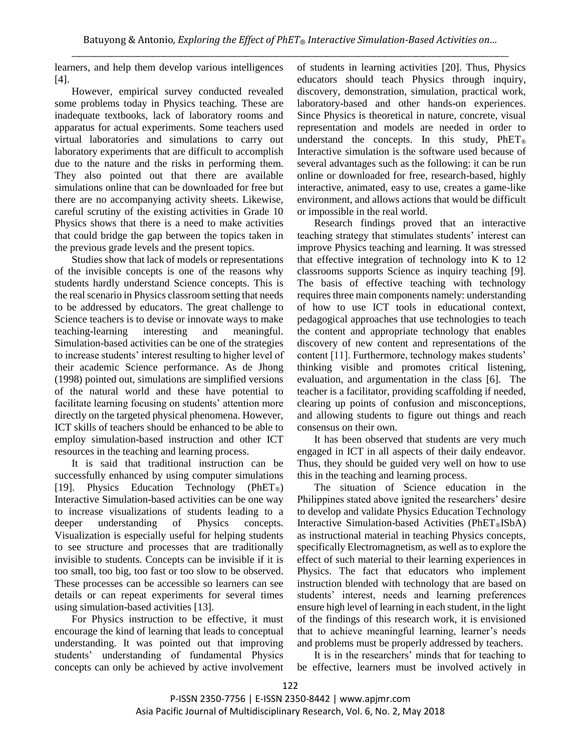learners, and help them develop various intelligences [4].

However, empirical survey conducted revealed some problems today in Physics teaching. These are inadequate textbooks, lack of laboratory rooms and apparatus for actual experiments. Some teachers used virtual laboratories and simulations to carry out laboratory experiments that are difficult to accomplish due to the nature and the risks in performing them. They also pointed out that there are available simulations online that can be downloaded for free but there are no accompanying activity sheets. Likewise, careful scrutiny of the existing activities in Grade 10 Physics shows that there is a need to make activities that could bridge the gap between the topics taken in the previous grade levels and the present topics.

Studies show that lack of models or representations of the invisible concepts is one of the reasons why students hardly understand Science concepts. This is the real scenario in Physics classroom setting that needs to be addressed by educators. The great challenge to Science teachers is to devise or innovate ways to make teaching-learning interesting and meaningful. Simulation-based activities can be one of the strategies to increase students' interest resulting to higher level of their academic Science performance. As de Jhong (1998) pointed out, simulations are simplified versions of the natural world and these have potential to facilitate learning focusing on students' attention more directly on the targeted physical phenomena. However, ICT skills of teachers should be enhanced to be able to employ simulation-based instruction and other ICT resources in the teaching and learning process.

It is said that traditional instruction can be successfully enhanced by using computer simulations [19]. Physics Education Technology (PhET<sup>®</sup>) Interactive Simulation-based activities can be one way to increase visualizations of students leading to a deeper understanding of Physics concepts. Visualization is especially useful for helping students to see structure and processes that are traditionally invisible to students. Concepts can be invisible if it is too small, too big, too fast or too slow to be observed. These processes can be accessible so learners can see details or can repeat experiments for several times using simulation-based activities [13].

For Physics instruction to be effective, it must encourage the kind of learning that leads to conceptual understanding. It was pointed out that improving students' understanding of fundamental Physics concepts can only be achieved by active involvement of students in learning activities [20]. Thus, Physics educators should teach Physics through inquiry, discovery, demonstration, simulation, practical work, laboratory-based and other hands-on experiences. Since Physics is theoretical in nature, concrete, visual representation and models are needed in order to understand the concepts. In this study,  $PhET<sub>®</sub>$ Interactive simulation is the software used because of several advantages such as the following: it can be run online or downloaded for free, research-based, highly interactive, animated, easy to use, creates a game-like environment, and allows actions that would be difficult or impossible in the real world.

Research findings proved that an interactive teaching strategy that stimulates students' interest can improve Physics teaching and learning. It was stressed that effective integration of technology into K to 12 classrooms supports Science as inquiry teaching [9]. The basis of effective teaching with technology requires three main components namely: understanding of how to use ICT tools in educational context, pedagogical approaches that use technologies to teach the content and appropriate technology that enables discovery of new content and representations of the content [11]. Furthermore, technology makes students' thinking visible and promotes critical listening, evaluation, and argumentation in the class [6]. The teacher is a facilitator, providing scaffolding if needed, clearing up points of confusion and misconceptions, and allowing students to figure out things and reach consensus on their own.

It has been observed that students are very much engaged in ICT in all aspects of their daily endeavor. Thus, they should be guided very well on how to use this in the teaching and learning process.

The situation of Science education in the Philippines stated above ignited the researchers' desire to develop and validate Physics Education Technology Interactive Simulation-based Activities ( $PhET@ISbA$ ) as instructional material in teaching Physics concepts, specifically Electromagnetism, as well as to explore the effect of such material to their learning experiences in Physics. The fact that educators who implement instruction blended with technology that are based on students' interest, needs and learning preferences ensure high level of learning in each student, in the light of the findings of this research work, it is envisioned that to achieve meaningful learning, learner's needs and problems must be properly addressed by teachers.

It is in the researchers' minds that for teaching to be effective, learners must be involved actively in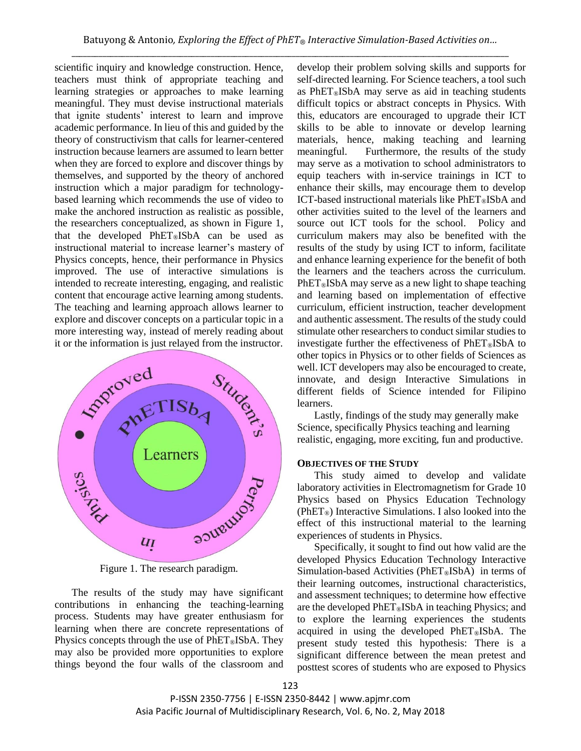scientific inquiry and knowledge construction. Hence, teachers must think of appropriate teaching and learning strategies or approaches to make learning meaningful. They must devise instructional materials that ignite students' interest to learn and improve academic performance. In lieu of this and guided by the theory of constructivism that calls for learner-centered instruction because learners are assumed to learn better when they are forced to explore and discover things by themselves, and supported by the theory of anchored instruction which a major paradigm for technologybased learning which recommends the use of video to make the anchored instruction as realistic as possible, the researchers conceptualized, as shown in Figure 1, that the developed PhET®ISbA can be used as instructional material to increase learner's mastery of Physics concepts, hence, their performance in Physics improved. The use of interactive simulations is intended to recreate interesting, engaging, and realistic content that encourage active learning among students. The teaching and learning approach allows learner to explore and discover concepts on a particular topic in a more interesting way, instead of merely reading about it or the information is just relayed from the instructor.



Figure 1. The research paradigm.

The results of the study may have significant contributions in enhancing the teaching-learning process. Students may have greater enthusiasm for learning when there are concrete representations of Physics concepts through the use of PhET®ISbA. They may also be provided more opportunities to explore things beyond the four walls of the classroom and develop their problem solving skills and supports for self-directed learning. For Science teachers, a tool such as PhET®ISbA may serve as aid in teaching students difficult topics or abstract concepts in Physics. With this, educators are encouraged to upgrade their ICT skills to be able to innovate or develop learning materials, hence, making teaching and learning meaningful. Furthermore, the results of the study may serve as a motivation to school administrators to equip teachers with in-service trainings in ICT to enhance their skills, may encourage them to develop ICT-based instructional materials like PhET®ISbA and other activities suited to the level of the learners and source out ICT tools for the school. Policy and curriculum makers may also be benefited with the results of the study by using ICT to inform, facilitate and enhance learning experience for the benefit of both the learners and the teachers across the curriculum. PhET®ISbA may serve as a new light to shape teaching and learning based on implementation of effective curriculum, efficient instruction, teacher development and authentic assessment. The results of the study could stimulate other researchers to conduct similar studies to investigate further the effectiveness of  $PhET@ISbA$  to other topics in Physics or to other fields of Sciences as well. ICT developers may also be encouraged to create, innovate, and design Interactive Simulations in different fields of Science intended for Filipino learners.

Lastly, findings of the study may generally make Science, specifically Physics teaching and learning realistic, engaging, more exciting, fun and productive.

# **OBJECTIVES OF THE STUDY**

This study aimed to develop and validate laboratory activities in Electromagnetism for Grade 10 Physics based on Physics Education Technology (PhET®) Interactive Simulations. I also looked into the effect of this instructional material to the learning experiences of students in Physics.

Specifically, it sought to find out how valid are the developed Physics Education Technology Interactive Simulation-based Activities (PhET<sup>®</sup>ISbA) in terms of their learning outcomes, instructional characteristics, and assessment techniques; to determine how effective are the developed  $PhET$ ®ISbA in teaching Physics; and to explore the learning experiences the students acquired in using the developed PhET®ISbA. The present study tested this hypothesis: There is a significant difference between the mean pretest and posttest scores of students who are exposed to Physics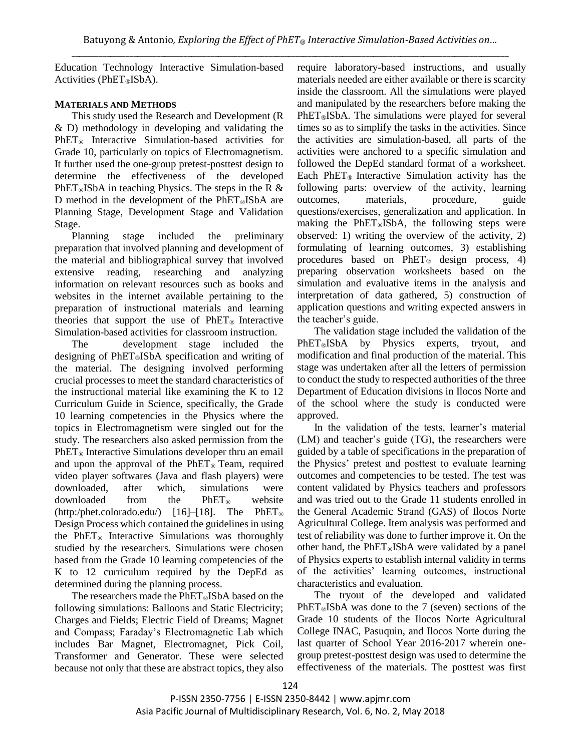Education Technology Interactive Simulation-based Activities ( $PhET@ISbA$ ).

# **MATERIALS AND METHODS**

This study used the Research and Development (R & D) methodology in developing and validating the PhET<sub>®</sub> Interactive Simulation-based activities for Grade 10, particularly on topics of Electromagnetism. It further used the one-group pretest-posttest design to determine the effectiveness of the developed PhET<sup>®</sup>ISbA in teaching Physics. The steps in the R  $\&$ D method in the development of the  $PhET@ISbA$  are Planning Stage, Development Stage and Validation Stage.

Planning stage included the preliminary preparation that involved planning and development of the material and bibliographical survey that involved extensive reading, researching and analyzing information on relevant resources such as books and websites in the internet available pertaining to the preparation of instructional materials and learning theories that support the use of  $PhET<sub>®</sub>$  Interactive Simulation-based activities for classroom instruction.

The development stage included the designing of PhET®ISbA specification and writing of the material. The designing involved performing crucial processes to meet the standard characteristics of the instructional material like examining the K to 12 Curriculum Guide in Science, specifically, the Grade 10 learning competencies in the Physics where the topics in Electromagnetism were singled out for the study. The researchers also asked permission from the  $PhET<sub>®</sub>$  Interactive Simulations developer thru an email and upon the approval of the PhET® Team, required video player softwares (Java and flash players) were downloaded, after which, simulations were downloaded from the PhET® website  $(http://phet.colorado.edu/)$  [16]–[18]. The PhET<sup>®</sup> Design Process which contained the guidelines in using the PhET<sup>®</sup> Interactive Simulations was thoroughly studied by the researchers. Simulations were chosen based from the Grade 10 learning competencies of the K to 12 curriculum required by the DepEd as determined during the planning process.

The researchers made the PhET®ISbA based on the following simulations: Balloons and Static Electricity; Charges and Fields; Electric Field of Dreams; Magnet and Compass; Faraday's Electromagnetic Lab which includes Bar Magnet, Electromagnet, Pick Coil, Transformer and Generator. These were selected because not only that these are abstract topics, they also require laboratory-based instructions, and usually materials needed are either available or there is scarcity inside the classroom. All the simulations were played and manipulated by the researchers before making the  $PhET<sub>®</sub>ISbA$ . The simulations were played for several times so as to simplify the tasks in the activities. Since the activities are simulation-based, all parts of the activities were anchored to a specific simulation and followed the DepEd standard format of a worksheet. Each PhET<sup>®</sup> Interactive Simulation activity has the following parts: overview of the activity, learning outcomes, materials, procedure, guide questions/exercises, generalization and application. In making the PhET®ISbA, the following steps were observed: 1) writing the overview of the activity, 2) formulating of learning outcomes, 3) establishing procedures based on  $PhET<sub>®</sub>$  design process, 4) preparing observation worksheets based on the simulation and evaluative items in the analysis and interpretation of data gathered, 5) construction of application questions and writing expected answers in the teacher's guide.

The validation stage included the validation of the PhET®ISbA by Physics experts, tryout, and modification and final production of the material. This stage was undertaken after all the letters of permission to conduct the study to respected authorities of the three Department of Education divisions in Ilocos Norte and of the school where the study is conducted were approved.

In the validation of the tests, learner's material (LM) and teacher's guide (TG), the researchers were guided by a table of specifications in the preparation of the Physics' pretest and posttest to evaluate learning outcomes and competencies to be tested. The test was content validated by Physics teachers and professors and was tried out to the Grade 11 students enrolled in the General Academic Strand (GAS) of Ilocos Norte Agricultural College. Item analysis was performed and test of reliability was done to further improve it. On the other hand, the PhET®ISbA were validated by a panel of Physics experts to establish internal validity in terms of the activities' learning outcomes, instructional characteristics and evaluation.

The tryout of the developed and validated  $PhET<sub>®</sub>ISbA$  was done to the 7 (seven) sections of the Grade 10 students of the Ilocos Norte Agricultural College INAC, Pasuquin, and Ilocos Norte during the last quarter of School Year 2016-2017 wherein onegroup pretest-posttest design was used to determine the effectiveness of the materials. The posttest was first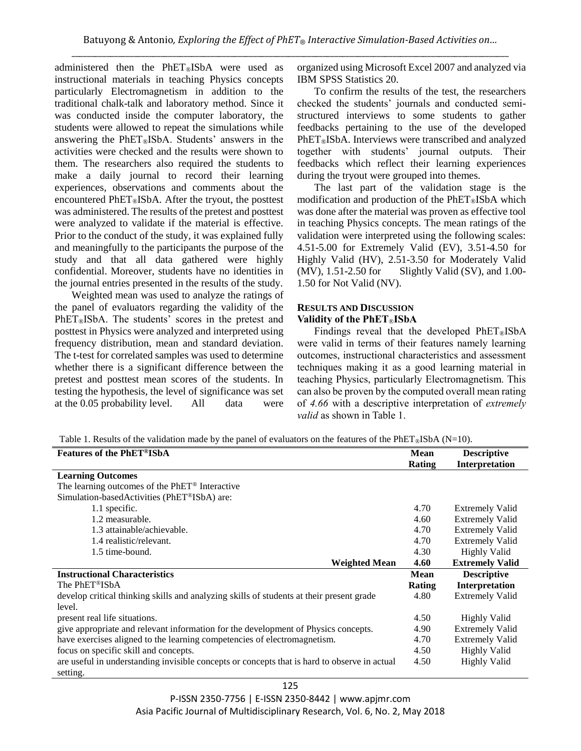administered then the PhET®ISbA were used as instructional materials in teaching Physics concepts particularly Electromagnetism in addition to the traditional chalk-talk and laboratory method. Since it was conducted inside the computer laboratory, the students were allowed to repeat the simulations while answering the PhET®ISbA. Students' answers in the activities were checked and the results were shown to them. The researchers also required the students to make a daily journal to record their learning experiences, observations and comments about the encountered PhET®ISbA. After the tryout, the posttest was administered. The results of the pretest and posttest were analyzed to validate if the material is effective. Prior to the conduct of the study, it was explained fully and meaningfully to the participants the purpose of the study and that all data gathered were highly confidential. Moreover, students have no identities in the journal entries presented in the results of the study.

Weighted mean was used to analyze the ratings of the panel of evaluators regarding the validity of the PhET<sub>®</sub>ISbA. The students' scores in the pretest and posttest in Physics were analyzed and interpreted using frequency distribution, mean and standard deviation. The t-test for correlated samples was used to determine whether there is a significant difference between the pretest and posttest mean scores of the students. In testing the hypothesis, the level of significance was set at the 0.05 probability level. All data were organized using Microsoft Excel 2007 and analyzed via IBM SPSS Statistics 20.

To confirm the results of the test, the researchers checked the students' journals and conducted semistructured interviews to some students to gather feedbacks pertaining to the use of the developed PhET®ISbA. Interviews were transcribed and analyzed together with students' journal outputs. Their feedbacks which reflect their learning experiences during the tryout were grouped into themes.

The last part of the validation stage is the modification and production of the  $PhET@ISbA$  which was done after the material was proven as effective tool in teaching Physics concepts. The mean ratings of the validation were interpreted using the following scales: 4.51-5.00 for Extremely Valid (EV), 3.51-4.50 for Highly Valid (HV), 2.51-3.50 for Moderately Valid (MV), 1.51-2.50 for Slightly Valid (SV), and 1.00- 1.50 for Not Valid (NV).

## **RESULTS AND DISCUSSION Validity of the PhET**®**ISbA**

Findings reveal that the developed PhET®ISbA were valid in terms of their features namely learning outcomes, instructional characteristics and assessment techniques making it as a good learning material in teaching Physics, particularly Electromagnetism. This can also be proven by the computed overall mean rating of *4.66* with a descriptive interpretation of *extremely valid* as shown in Table 1.

Table 1. Results of the validation made by the panel of evaluators on the features of the PhET<sup>®</sup>ISbA (N=10).

| <b>Features of the PhET®ISbA</b>                                                                         | <b>Mean</b> | <b>Descriptive</b>     |
|----------------------------------------------------------------------------------------------------------|-------------|------------------------|
|                                                                                                          | Rating      | Interpretation         |
| <b>Learning Outcomes</b>                                                                                 |             |                        |
| The learning outcomes of the PhET <sup>®</sup> Interactive                                               |             |                        |
| Simulation-basedActivities (PhET®ISbA) are:                                                              |             |                        |
| 1.1 specific.                                                                                            | 4.70        | <b>Extremely Valid</b> |
| 1.2 measurable.                                                                                          | 4.60        | <b>Extremely Valid</b> |
| 1.3 attainable/achievable.                                                                               | 4.70        | <b>Extremely Valid</b> |
| 1.4 realistic/relevant.                                                                                  | 4.70        | <b>Extremely Valid</b> |
| 1.5 time-bound.                                                                                          | 4.30        | <b>Highly Valid</b>    |
| <b>Weighted Mean</b>                                                                                     | 4.60        | <b>Extremely Valid</b> |
| <b>Instructional Characteristics</b>                                                                     | <b>Mean</b> | <b>Descriptive</b>     |
| The PhET®ISbA                                                                                            | Rating      | Interpretation         |
| develop critical thinking skills and analyzing skills of students at their present grade                 | 4.80        | <b>Extremely Valid</b> |
| level.                                                                                                   |             |                        |
| present real life situations.                                                                            | 4.50        | <b>Highly Valid</b>    |
| give appropriate and relevant information for the development of Physics concepts.                       | 4.90        | <b>Extremely Valid</b> |
| have exercises aligned to the learning competencies of electromagnetism.                                 | 4.70        | <b>Extremely Valid</b> |
| focus on specific skill and concepts.                                                                    | 4.50        | <b>Highly Valid</b>    |
| are useful in understanding invisible concepts or concepts that is hard to observe in actual<br>setting. | 4.50        | <b>Highly Valid</b>    |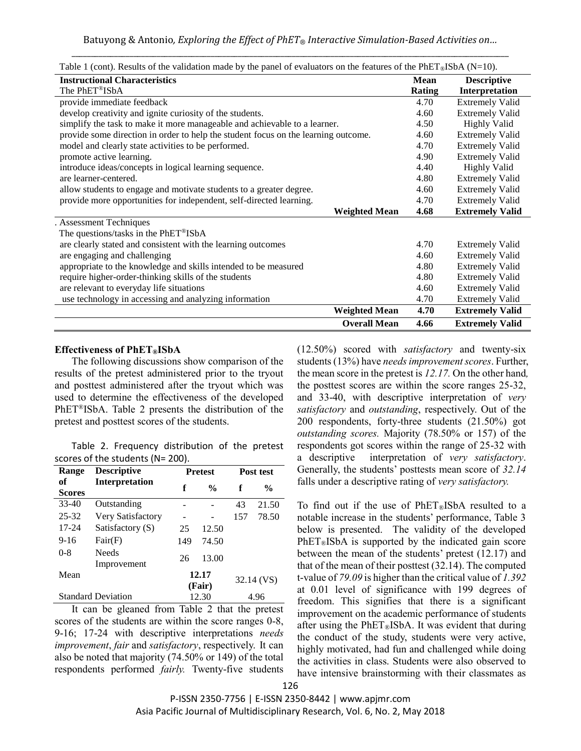| <b>Instructional Characteristics</b>                                               | <b>Mean</b>   | <b>Descriptive</b>     |
|------------------------------------------------------------------------------------|---------------|------------------------|
| The PhET®ISbA                                                                      | <b>Rating</b> | Interpretation         |
| provide immediate feedback                                                         | 4.70          | <b>Extremely Valid</b> |
| develop creativity and ignite curiosity of the students.                           | 4.60          | <b>Extremely Valid</b> |
| simplify the task to make it more manageable and achievable to a learner.          | 4.50          | <b>Highly Valid</b>    |
| provide some direction in order to help the student focus on the learning outcome. | 4.60          | <b>Extremely Valid</b> |
| model and clearly state activities to be performed.                                | 4.70          | <b>Extremely Valid</b> |
| promote active learning.                                                           | 4.90          | <b>Extremely Valid</b> |
| introduce ideas/concepts in logical learning sequence.                             | 4.40          | <b>Highly Valid</b>    |
| are learner-centered.                                                              | 4.80          | <b>Extremely Valid</b> |
| allow students to engage and motivate students to a greater degree.                | 4.60          | <b>Extremely Valid</b> |
| provide more opportunities for independent, self-directed learning.                | 4.70          | <b>Extremely Valid</b> |
| <b>Weighted Mean</b>                                                               | 4.68          | <b>Extremely Valid</b> |
| . Assessment Techniques                                                            |               |                        |
| The questions/tasks in the PhET®ISbA                                               |               |                        |
| are clearly stated and consistent with the learning outcomes                       | 4.70          | <b>Extremely Valid</b> |
| are engaging and challenging                                                       | 4.60          | <b>Extremely Valid</b> |
| appropriate to the knowledge and skills intended to be measured                    | 4.80          | <b>Extremely Valid</b> |
| require higher-order-thinking skills of the students                               | 4.80          | <b>Extremely Valid</b> |
| are relevant to everyday life situations                                           | 4.60          | <b>Extremely Valid</b> |
| use technology in accessing and analyzing information                              | 4.70          | <b>Extremely Valid</b> |
| <b>Weighted Mean</b>                                                               | 4.70          | <b>Extremely Valid</b> |
| <b>Overall Mean</b>                                                                | 4.66          | <b>Extremely Valid</b> |

Table 1 (cont). Results of the validation made by the panel of evaluators on the features of the PhET®ISbA (N=10).

# **Effectiveness of PhET®ISbA**

The following discussions show comparison of the results of the pretest administered prior to the tryout and posttest administered after the tryout which was used to determine the effectiveness of the developed PhET®ISbA. Table 2 presents the distribution of the pretest and posttest scores of the students.

Table 2. Frequency distribution of the pretest scores of the students (N= 200).

| <b>Range</b>  | <b>Descriptive</b>        | <b>Pretest</b>  |               | Post test  |               |
|---------------|---------------------------|-----------------|---------------|------------|---------------|
| of            | <b>Interpretation</b>     | f               | $\frac{0}{0}$ | f          | $\frac{0}{0}$ |
| <b>Scores</b> |                           |                 |               |            |               |
| $33-40$       | Outstanding               |                 |               | 43         | 21.50         |
| $25 - 32$     | Very Satisfactory         |                 |               | 157        | 78.50         |
| 17-24         | Satisfactory (S)          | 25              | 12.50         |            |               |
| $9 - 16$      | Fair(F)                   | 149             | 74.50         |            |               |
| $0 - 8$       | <b>Needs</b>              | 26              | 13.00         |            |               |
|               | Improvement               |                 |               |            |               |
| Mean          |                           | 12.17<br>(Fair) |               | 32.14 (VS) |               |
|               |                           |                 |               |            |               |
|               | <b>Standard Deviation</b> |                 | 12.30         |            | 4.96          |

It can be gleaned from Table 2 that the pretest scores of the students are within the score ranges 0-8, 9-16; 17-24 with descriptive interpretations *needs improvement*, *fair* and *satisfactory*, respectively. It can also be noted that majority (74.50% or 149) of the total respondents performed *fairly.* Twenty-five students (12.50%) scored with *satisfactory* and twenty-six students (13%) have *needs improvement scores*. Further, the mean score in the pretest is *12.17.* On the other hand*,*  the posttest scores are within the score ranges 25-32, and 33-40, with descriptive interpretation of *very satisfactory* and *outstanding*, respectively. Out of the 200 respondents, forty-three students (21.50%) got *outstanding scores.* Majority (78.50% or 157) of the respondents got scores within the range of 25-32 with a descriptive interpretation of *very satisfactory*. Generally, the students' posttests mean score of *32.14* falls under a descriptive rating of *very satisfactory.* 

To find out if the use of  $PhET@ISbA$  resulted to a notable increase in the students' performance, Table 3 below is presented. The validity of the developed  $PhET<sub>®</sub>ISbA$  is supported by the indicated gain score between the mean of the students' pretest (12.17) and that of the mean of their posttest (32.14). The computed t-value of *79.09* is higher than the critical value of *1.392*  at 0.01 level of significance with 199 degrees of freedom. This signifies that there is a significant improvement on the academic performance of students after using the PhET®ISbA. It was evident that during the conduct of the study, students were very active, highly motivated, had fun and challenged while doing the activities in class. Students were also observed to have intensive brainstorming with their classmates as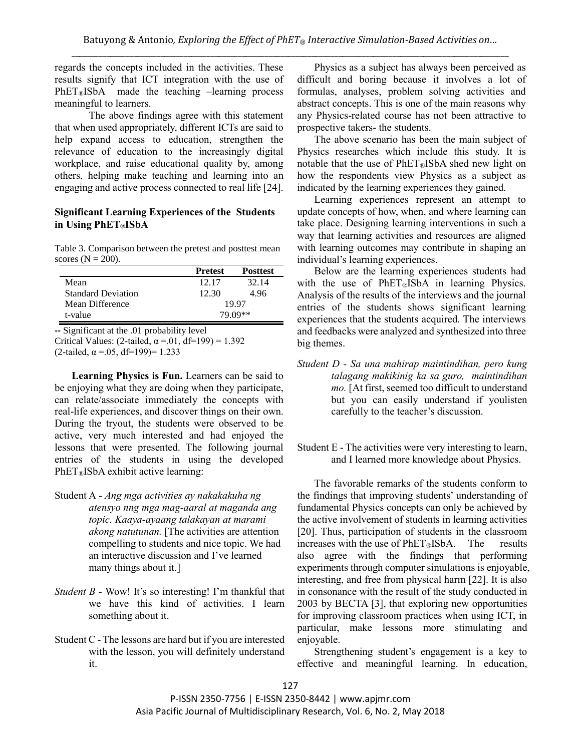regards the concepts included in the activities. These results signify that ICT integration with the use of PhET®ISbA made the teaching –learning process meaningful to learners.

The above findings agree with this statement that when used appropriately, different ICTs are said to help expand access to education, strengthen the relevance of education to the increasingly digital workplace, and raise educational quality by, among others, helping make teaching and learning into an engaging and active process connected to real life [24].

# **Significant Learning Experiences of the Students in Using PhET®ISbA**

Table 3. Comparison between the pretest and posttest mean scores ( $N = 200$ ).

|                           | <b>Pretest</b> | <b>Posttest</b> |  |  |
|---------------------------|----------------|-----------------|--|--|
| Mean                      | 12.17          | 32.14           |  |  |
| <b>Standard Deviation</b> | 12.30          | 4.96            |  |  |
| Mean Difference           |                | 19.97           |  |  |
| t-value                   |                | 79.09**         |  |  |

 $*\overline{\text{Significant}}$  at the .01 probability level Critical Values: (2-tailed,  $\alpha$  = 01, df=199) = 1.392 (2-tailed,  $\alpha = .05$ , df=199)= 1.233

**Learning Physics is Fun.** Learners can be said to be enjoying what they are doing when they participate, can relate/associate immediately the concepts with real-life experiences, and discover things on their own. During the tryout, the students were observed to be active, very much interested and had enjoyed the lessons that were presented. The following journal entries of the students in using the developed PhET®ISbA exhibit active learning:

- Student A *- Ang mga activities ay nakakakuha ng atensyo nng mga mag-aaral at maganda ang topic. Kaaya-ayaang talakayan at marami akong natutunan.* [The activities are attention compelling to students and nice topic. We had an interactive discussion and I've learned many things about it.]
- *Student B* Wow! It's so interesting! I'm thankful that we have this kind of activities. I learn something about it.
- Student C The lessons are hard but if you are interested with the lesson, you will definitely understand it.

Physics as a subject has always been perceived as difficult and boring because it involves a lot of formulas, analyses, problem solving activities and abstract concepts. This is one of the main reasons why any Physics-related course has not been attractive to prospective takers- the students.

The above scenario has been the main subject of Physics researches which include this study. It is notable that the use of  $PhET_{\mathcal{B}}ISbA$  shed new light on how the respondents view Physics as a subject as indicated by the learning experiences they gained.

Learning experiences represent an attempt to update concepts of how, when, and where learning can take place. Designing learning interventions in such a way that learning activities and resources are aligned with learning outcomes may contribute in shaping an individual's learning experiences.

Below are the learning experiences students had with the use of PhET®ISbA in learning Physics. Analysis of the results of the interviews and the journal entries of the students shows significant learning experiences that the students acquired. The interviews and feedbacks were analyzed and synthesized into three big themes.

- *Student D - Sa una mahirap maintindihan, pero kung talagang makikinig ka sa guro, maintindihan mo.* [At first, seemed too difficult to understand but you can easily understand if youlisten carefully to the teacher's discussion.
- Student E The activities were very interesting to learn, and I learned more knowledge about Physics.

The favorable remarks of the students conform to the findings that improving students' understanding of fundamental Physics concepts can only be achieved by the active involvement of students in learning activities [20]. Thus, participation of students in the classroom increases with the use of  $PhET_{\mathcal{B}}$ ISbA. The results also agree with the findings that performing experiments through computer simulations is enjoyable, interesting, and free from physical harm [22]. It is also in consonance with the result of the study conducted in 2003 by BECTA [3], that exploring new opportunities for improving classroom practices when using ICT, in particular, make lessons more stimulating and enjoyable.

Strengthening student's engagement is a key to effective and meaningful learning. In education,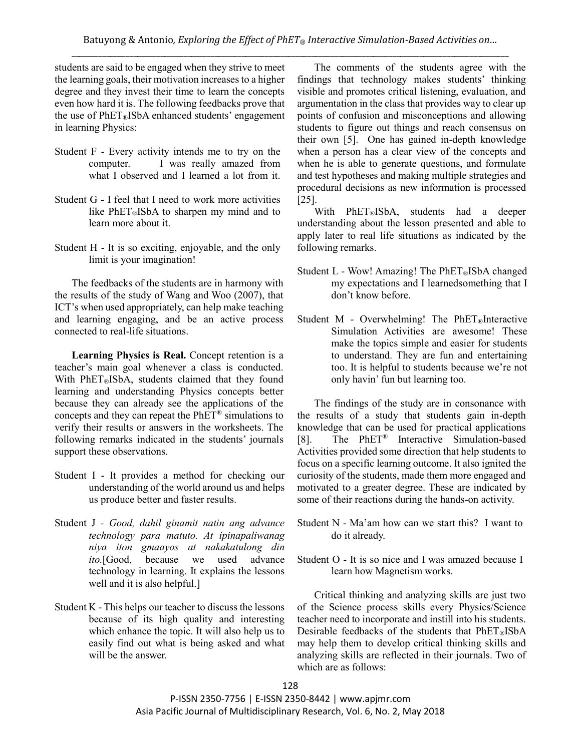students are said to be engaged when they strive to meet the learning goals, their motivation increases to a higher degree and they invest their time to learn the concepts even how hard it is. The following feedbacks prove that the use of  $PhET@ISbA$  enhanced students' engagement in learning Physics:

- Student F Every activity intends me to try on the computer. I was really amazed from what I observed and I learned a lot from it.
- Student G I feel that I need to work more activities like  $PhET_{\mathcal{B}}$ ISbA to sharpen my mind and to learn more about it.
- Student H It is so exciting, enjoyable, and the only limit is your imagination!

The feedbacks of the students are in harmony with the results of the study of Wang and Woo (2007), that ICT's when used appropriately, can help make teaching and learning engaging, and be an active process connected to real-life situations.

**Learning Physics is Real.** Concept retention is a teacher's main goal whenever a class is conducted. With PhET®ISbA, students claimed that they found learning and understanding Physics concepts better because they can already see the applications of the concepts and they can repeat the PhET® simulations to verify their results or answers in the worksheets. The following remarks indicated in the students' journals support these observations.

- Student I It provides a method for checking our understanding of the world around us and helps us produce better and faster results.
- Student J *- Good, dahil ginamit natin ang advance technology para matuto. At ipinapaliwanag niya iton gmaayos at nakakatulong din ito.*[Good, because we used advance technology in learning. It explains the lessons well and it is also helpful.]
- Student K This helps our teacher to discuss the lessons because of its high quality and interesting which enhance the topic. It will also help us to easily find out what is being asked and what will be the answer.

The comments of the students agree with the findings that technology makes students' thinking visible and promotes critical listening, evaluation, and argumentation in the class that provides way to clear up points of confusion and misconceptions and allowing students to figure out things and reach consensus on their own [5]. One has gained in-depth knowledge when a person has a clear view of the concepts and when he is able to generate questions, and formulate and test hypotheses and making multiple strategies and procedural decisions as new information is processed [25].

With PhET®ISbA, students had a deeper understanding about the lesson presented and able to apply later to real life situations as indicated by the following remarks.

- Student L Wow! Amazing! The PhET®ISbA changed my expectations and I learnedsomething that I don't know before.
- Student M Overwhelming! The  $PhET_{\mathcal{R}}$ Interactive Simulation Activities are awesome! These make the topics simple and easier for students to understand. They are fun and entertaining too. It is helpful to students because we're not only havin' fun but learning too.

The findings of the study are in consonance with the results of a study that students gain in-depth knowledge that can be used for practical applications [8]. The PhET® Interactive Simulation-based Activities provided some direction that help students to focus on a specific learning outcome. It also ignited the curiosity of the students, made them more engaged and motivated to a greater degree. These are indicated by some of their reactions during the hands-on activity.

- Student N Ma'am how can we start this? I want to do it already.
- Student O It is so nice and I was amazed because I learn how Magnetism works.

Critical thinking and analyzing skills are just two of the Science process skills every Physics/Science teacher need to incorporate and instill into his students. Desirable feedbacks of the students that PhET®ISbA may help them to develop critical thinking skills and analyzing skills are reflected in their journals. Two of which are as follows: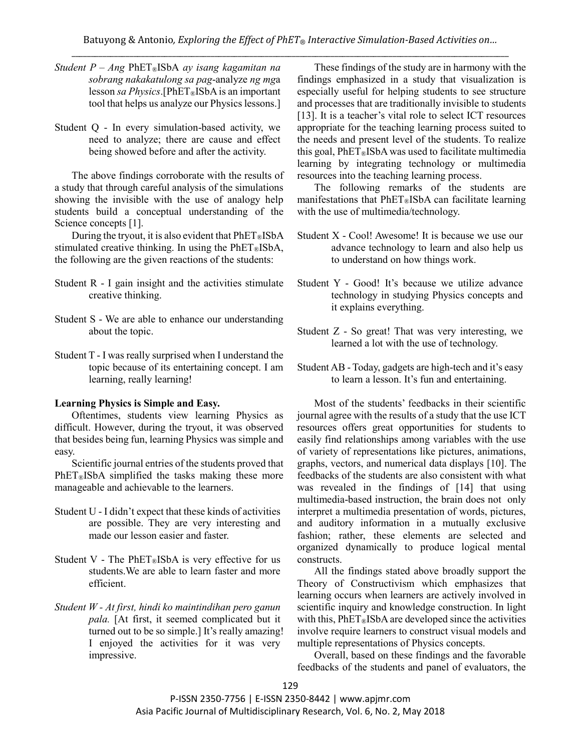- *Student P – Ang* PhET®ISbA *ay isang kagamitan na sobrang nakakatulong sa pag*-analyze *ng mg*a lesson *sa Physics*.[PhET®ISbA is an important tool that helps us analyze our Physics lessons.]
- Student Q In every simulation-based activity, we need to analyze; there are cause and effect being showed before and after the activity.

The above findings corroborate with the results of a study that through careful analysis of the simulations showing the invisible with the use of analogy help students build a conceptual understanding of the Science concepts [1].

During the tryout, it is also evident that  $PhET@ISbA$ stimulated creative thinking. In using the  $PhET$ ®ISbA, the following are the given reactions of the students:

- Student R I gain insight and the activities stimulate creative thinking.
- Student S We are able to enhance our understanding about the topic.
- Student T I was really surprised when I understand the topic because of its entertaining concept. I am learning, really learning!

### **Learning Physics is Simple and Easy.**

Oftentimes, students view learning Physics as difficult. However, during the tryout, it was observed that besides being fun, learning Physics was simple and easy.

Scientific journal entries of the students proved that PhET®ISbA simplified the tasks making these more manageable and achievable to the learners.

- Student U I didn't expect that these kinds of activities are possible. They are very interesting and made our lesson easier and faster.
- Student V The PhET<sup>®</sup>ISbA is very effective for us students.We are able to learn faster and more efficient.
- *Student W - At first, hindi ko maintindihan pero ganun pala.* [At first, it seemed complicated but it turned out to be so simple.] It's really amazing! I enjoyed the activities for it was very impressive.

These findings of the study are in harmony with the findings emphasized in a study that visualization is especially useful for helping students to see structure and processes that are traditionally invisible to students [13]. It is a teacher's vital role to select ICT resources appropriate for the teaching learning process suited to the needs and present level of the students. To realize this goal,  $PhET$ <sup>®</sup>ISbA was used to facilitate multimedia learning by integrating technology or multimedia resources into the teaching learning process.

The following remarks of the students are manifestations that  $PhET@ISbA$  can facilitate learning with the use of multimedia/technology.

- Student X Cool! Awesome! It is because we use our advance technology to learn and also help us to understand on how things work.
- Student Y Good! It's because we utilize advance technology in studying Physics concepts and it explains everything.
- Student Z So great! That was very interesting, we learned a lot with the use of technology.
- Student AB Today, gadgets are high-tech and it's easy to learn a lesson. It's fun and entertaining.

Most of the students' feedbacks in their scientific journal agree with the results of a study that the use ICT resources offers great opportunities for students to easily find relationships among variables with the use of variety of representations like pictures, animations, graphs, vectors, and numerical data displays [10]. The feedbacks of the students are also consistent with what was revealed in the findings of [14] that using multimedia-based instruction, the brain does not only interpret a multimedia presentation of words, pictures, and auditory information in a mutually exclusive fashion; rather, these elements are selected and organized dynamically to produce logical mental constructs.

All the findings stated above broadly support the Theory of Constructivism which emphasizes that learning occurs when learners are actively involved in scientific inquiry and knowledge construction. In light with this,  $PhET$ <sup>®</sup>ISbA are developed since the activities involve require learners to construct visual models and multiple representations of Physics concepts.

Overall, based on these findings and the favorable feedbacks of the students and panel of evaluators, the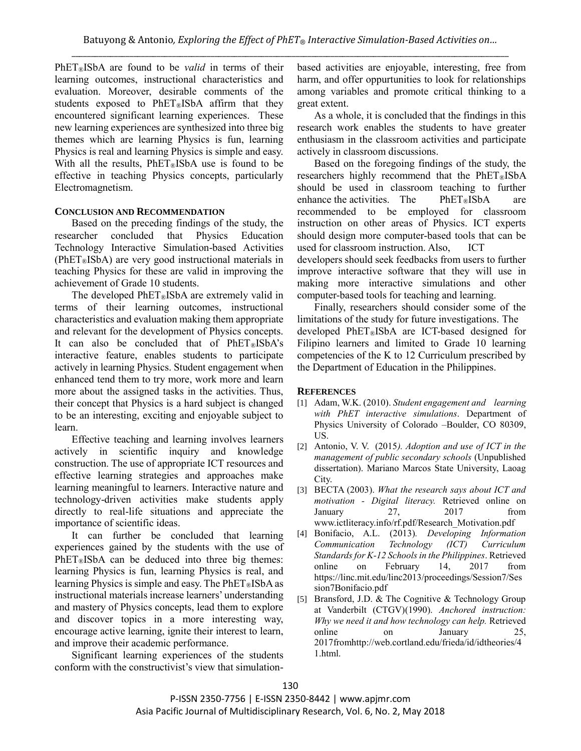PhET®ISbA are found to be *valid* in terms of their learning outcomes, instructional characteristics and evaluation. Moreover, desirable comments of the students exposed to PhET®ISbA affirm that they encountered significant learning experiences. These new learning experiences are synthesized into three big themes which are learning Physics is fun, learning Physics is real and learning Physics is simple and easy. With all the results,  $PhET_{\mathcal{B}}$ ISbA use is found to be effective in teaching Physics concepts, particularly Electromagnetism.

# **CONCLUSION AND RECOMMENDATION**

Based on the preceding findings of the study, the researcher concluded that Physics Education Technology Interactive Simulation-based Activities  $(PhET<sub>®</sub>ISbA)$  are very good instructional materials in teaching Physics for these are valid in improving the achievement of Grade 10 students.

The developed  $PhET_{\mathcal{B}}$ ISbA are extremely valid in terms of their learning outcomes, instructional characteristics and evaluation making them appropriate and relevant for the development of Physics concepts. It can also be concluded that of  $PhET@ISbA's$ interactive feature, enables students to participate actively in learning Physics. Student engagement when enhanced tend them to try more, work more and learn more about the assigned tasks in the activities. Thus, their concept that Physics is a hard subject is changed to be an interesting, exciting and enjoyable subject to learn.

Effective teaching and learning involves learners actively in scientific inquiry and knowledge construction. The use of appropriate ICT resources and effective learning strategies and approaches make learning meaningful to learners. Interactive nature and technology-driven activities make students apply directly to real-life situations and appreciate the importance of scientific ideas.

It can further be concluded that learning experiences gained by the students with the use of  $PhET@ISbA$  can be deduced into three big themes: learning Physics is fun, learning Physics is real, and learning Physics is simple and easy. The  $PhET_{\mathcal{R}}ISbA$  as instructional materials increase learners' understanding and mastery of Physics concepts, lead them to explore and discover topics in a more interesting way, encourage active learning, ignite their interest to learn, and improve their academic performance.

Significant learning experiences of the students conform with the constructivist's view that simulationbased activities are enjoyable, interesting, free from harm, and offer oppurtunities to look for relationships among variables and promote critical thinking to a great extent.

As a whole, it is concluded that the findings in this research work enables the students to have greater enthusiasm in the classroom activities and participate actively in classroom discussions.

Based on the foregoing findings of the study, the researchers highly recommend that the  $PhET@ISbA$ should be used in classroom teaching to further enhance the activities. The  $PhET@ISbA$  are recommended to be employed for classroom instruction on other areas of Physics. ICT experts should design more computer-based tools that can be used for classroom instruction. Also, ICT developers should seek feedbacks from users to further improve interactive software that they will use in making more interactive simulations and other computer-based tools for teaching and learning.

Finally, researchers should consider some of the limitations of the study for future investigations. The developed PhET®ISbA are ICT-based designed for Filipino learners and limited to Grade 10 learning competencies of the K to 12 Curriculum prescribed by the Department of Education in the Philippines.

# **REFERENCES**

- [1] Adam, W.K. (2010). *Student engagement and learning with PhET interactive simulations*. Department of Physics University of Colorado –Boulder, CO 80309, US.
- [2] Antonio, V. V. (2015*). Adoption and use of ICT in the management of public secondary schools* (Unpublished dissertation). Mariano Marcos State University, Laoag City.
- [3] BECTA (2003). *What the research says about ICT and motivation - Digital literacy.* Retrieved online on January 27, 2017 from www.ictliteracy.info/rf.pdf/Research\_Motivation.pdf
- [4] Bonifacio, A.L. (2013)*. Developing Information Communication Technology (ICT) Curriculum Standards for K-12 Schools in the Philippines*. Retrieved online on February 14, 2017 from https://linc.mit.edu/linc2013/proceedings/Session7/Ses sion7Bonifacio.pdf
- [5] Bransford, J.D. & The Cognitive & Technology Group at Vanderbilt (CTGV)(1990). *Anchored instruction: Why we need it and how technology can help.* Retrieved online on January 25, 2017fromhttp://web.cortland.edu/frieda/id/idtheories/4 1.html.